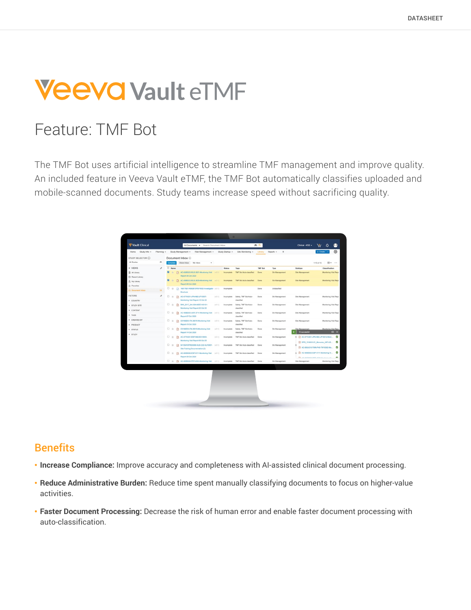# **Veeva Vault eTMF**

# Feature: TMF Bot

The TMF Bot uses artificial intelligence to streamline TMF management and improve quality. An included feature in Veeva Vault eTMF, the TMF Bot automatically classifies uploaded and mobile-scanned documents. Study teams increase speed without sacrificing quality.

| All Studies<br>$\sigma$<br>Share Inbox My Inbox<br>Complete<br>٠<br>1-15 of 15<br>$\Box$ Name<br>$-$ VIEWS<br>o<br><b>Status</b><br>TMF Bot<br>Subtype<br>Tags<br>Тузе<br>Classification<br>ø<br>T3 AC-058B303-RUS-3821-Monitoring Visit (v0.1)<br><b>TMF Bot Auto-classified</b><br><b>All Library</b><br>v.<br>Done<br><b>Sib Management</b><br>Site Management<br>Incomplete<br>Report-06 Oct 2020<br><sup>(b)</sup> Recent Library<br>ø<br>[2] AC-058B303-RUS-3829-Monitoring Visit (v0.1)<br>$-1$<br>TMF Bot Auto-classified<br>Done<br>Sin Management<br>Site Management<br>Incorrolete<br>& My Library<br>Report-08 Oct 2020<br>C Favorites<br>□ ☆ □ 16977831-R092670PSY4002-Investigator (v0.1)<br>Urclassified<br>Incomplete<br>Done<br>15 <sub>1</sub><br>63 Document Inbox<br>Brochure<br><b>FILTERS</b><br>o<br>$\gamma_{\rm T}$<br>[2] AC-077A301-JPN-N82-JP10007-<br>(v0.1)<br>Safety, TMF Bot Auto-<br>Done<br>Sib Management<br>Incomplete<br>Site Management<br>Monitoring Visit Report-15 Oct 20<br>classified<br>+ COUNTRY<br>口女<br>m.<br>BWI 2017_04-USA-MDEV-00101-<br>(v0.1)<br>Incomplete<br>Safety, TMF Bot Auto-<br>Done<br><b>Sib Management</b><br>Site Management<br>> STUDY SITE<br>Monitoring Visit Report-20 Oct 20<br>classified<br>· CONTENT<br>□ ☆ D AC-0588303-UKR-3714-Monitoring Visit<br>Safety, TMF Bot Auto-<br>(v0.1)<br>Incomplete<br>Done<br>Sib Management<br>Site Management<br><b>&gt; TAGS</b><br>Report-07 Oct 2020<br>classified<br><b>&gt; CREATED BY</b><br>$0 +$<br>C0168203-ITA-39318-Monitoring Visit<br>(v0.1)<br>Safety, TMF Bot Auto-<br>Sib Management<br>Site Management<br>固<br>Incomplete<br>Done<br>Report-15 Oct 2020<br>classified<br>PRODUCT<br>$\Box$ $\pm$<br>C0168203-ITA-39319-Monitoring Visit<br>m<br>(v0.1)<br>Incomplete<br>Safety, TMF Bot Auto-<br>Done<br>Sib Management<br>Site Management<br><b>F</b> STATUS<br>15 successful<br>Report-14 Oct 2020<br>classified<br><b>&gt; STUDY</b><br>$\Box$<br>AC-077A301-ESP-N82-ES10003-<br>(v0.1)<br>Incomplete<br>TMF Bot Auto-classified<br>Done<br>Sib Management<br>Monitoring Visit Report-06 Oct 20<br>DPO_15-MVH-01_Monovisc_HIP-US<br>$\Box$<br>商<br>54135419TRD3008-AUS-C32-AU10001- (v0.1)<br>Incomplete<br>TMF Bot Auto-classified<br>Done<br>Sib Management<br>Site Training Documentation-(3)<br>8 2 AC-0658302-ESP-5111-Monitoring Vi<br>口 士<br>AC-005B302-ESP-5111-Monitoring Visit (v0.1)<br>Incomplete<br>TMF Bot Auto-classified<br>Done<br>Sib Management<br>Report-09 Oct 2020<br><b>Ch.</b> A.A. ARPRAIA RAW APAR ALLINGULARS.<br>$\Box$<br>AC-0658302-PRT-4503-Monitoring Visit (v0.1)<br>TMF Bot Auto-classified<br>Done<br>Sin Management<br>Site Management<br>Incomplete | 田 <b>v</b> …<br>Monitoring Visit Repo<br>Monitoring Visit Repo<br>Monitoring Visit Repo<br>Monitoring Visit Repo<br>S AC-077A301-JPN-N82-JP10012-Moni O<br>$\circ$<br>AC-065A310-TWN-P40-TW10002-Mo<br>æ, | STUDY SELECTOR @ |  | Document Inbox |  |  |  |                       |
|--------------------------------------------------------------------------------------------------------------------------------------------------------------------------------------------------------------------------------------------------------------------------------------------------------------------------------------------------------------------------------------------------------------------------------------------------------------------------------------------------------------------------------------------------------------------------------------------------------------------------------------------------------------------------------------------------------------------------------------------------------------------------------------------------------------------------------------------------------------------------------------------------------------------------------------------------------------------------------------------------------------------------------------------------------------------------------------------------------------------------------------------------------------------------------------------------------------------------------------------------------------------------------------------------------------------------------------------------------------------------------------------------------------------------------------------------------------------------------------------------------------------------------------------------------------------------------------------------------------------------------------------------------------------------------------------------------------------------------------------------------------------------------------------------------------------------------------------------------------------------------------------------------------------------------------------------------------------------------------------------------------------------------------------------------------------------------------------------------------------------------------------------------------------------------------------------------------------------------------------------------------------------------------------------------------------------------------------------------------------------------------------------------------------------------------------------------------------------------------------------------------------------------------------------------------------------------------------------------------------------------------------------------------------------------------------------------------------------|-----------------------------------------------------------------------------------------------------------------------------------------------------------------------------------------------------------|------------------|--|----------------|--|--|--|-----------------------|
|                                                                                                                                                                                                                                                                                                                                                                                                                                                                                                                                                                                                                                                                                                                                                                                                                                                                                                                                                                                                                                                                                                                                                                                                                                                                                                                                                                                                                                                                                                                                                                                                                                                                                                                                                                                                                                                                                                                                                                                                                                                                                                                                                                                                                                                                                                                                                                                                                                                                                                                                                                                                                                                                                                                          |                                                                                                                                                                                                           |                  |  |                |  |  |  |                       |
|                                                                                                                                                                                                                                                                                                                                                                                                                                                                                                                                                                                                                                                                                                                                                                                                                                                                                                                                                                                                                                                                                                                                                                                                                                                                                                                                                                                                                                                                                                                                                                                                                                                                                                                                                                                                                                                                                                                                                                                                                                                                                                                                                                                                                                                                                                                                                                                                                                                                                                                                                                                                                                                                                                                          |                                                                                                                                                                                                           |                  |  |                |  |  |  |                       |
|                                                                                                                                                                                                                                                                                                                                                                                                                                                                                                                                                                                                                                                                                                                                                                                                                                                                                                                                                                                                                                                                                                                                                                                                                                                                                                                                                                                                                                                                                                                                                                                                                                                                                                                                                                                                                                                                                                                                                                                                                                                                                                                                                                                                                                                                                                                                                                                                                                                                                                                                                                                                                                                                                                                          |                                                                                                                                                                                                           |                  |  |                |  |  |  |                       |
|                                                                                                                                                                                                                                                                                                                                                                                                                                                                                                                                                                                                                                                                                                                                                                                                                                                                                                                                                                                                                                                                                                                                                                                                                                                                                                                                                                                                                                                                                                                                                                                                                                                                                                                                                                                                                                                                                                                                                                                                                                                                                                                                                                                                                                                                                                                                                                                                                                                                                                                                                                                                                                                                                                                          |                                                                                                                                                                                                           |                  |  |                |  |  |  |                       |
|                                                                                                                                                                                                                                                                                                                                                                                                                                                                                                                                                                                                                                                                                                                                                                                                                                                                                                                                                                                                                                                                                                                                                                                                                                                                                                                                                                                                                                                                                                                                                                                                                                                                                                                                                                                                                                                                                                                                                                                                                                                                                                                                                                                                                                                                                                                                                                                                                                                                                                                                                                                                                                                                                                                          |                                                                                                                                                                                                           |                  |  |                |  |  |  |                       |
|                                                                                                                                                                                                                                                                                                                                                                                                                                                                                                                                                                                                                                                                                                                                                                                                                                                                                                                                                                                                                                                                                                                                                                                                                                                                                                                                                                                                                                                                                                                                                                                                                                                                                                                                                                                                                                                                                                                                                                                                                                                                                                                                                                                                                                                                                                                                                                                                                                                                                                                                                                                                                                                                                                                          |                                                                                                                                                                                                           |                  |  |                |  |  |  |                       |
|                                                                                                                                                                                                                                                                                                                                                                                                                                                                                                                                                                                                                                                                                                                                                                                                                                                                                                                                                                                                                                                                                                                                                                                                                                                                                                                                                                                                                                                                                                                                                                                                                                                                                                                                                                                                                                                                                                                                                                                                                                                                                                                                                                                                                                                                                                                                                                                                                                                                                                                                                                                                                                                                                                                          |                                                                                                                                                                                                           |                  |  |                |  |  |  | Monitoring Visit Repo |
|                                                                                                                                                                                                                                                                                                                                                                                                                                                                                                                                                                                                                                                                                                                                                                                                                                                                                                                                                                                                                                                                                                                                                                                                                                                                                                                                                                                                                                                                                                                                                                                                                                                                                                                                                                                                                                                                                                                                                                                                                                                                                                                                                                                                                                                                                                                                                                                                                                                                                                                                                                                                                                                                                                                          |                                                                                                                                                                                                           |                  |  |                |  |  |  |                       |
|                                                                                                                                                                                                                                                                                                                                                                                                                                                                                                                                                                                                                                                                                                                                                                                                                                                                                                                                                                                                                                                                                                                                                                                                                                                                                                                                                                                                                                                                                                                                                                                                                                                                                                                                                                                                                                                                                                                                                                                                                                                                                                                                                                                                                                                                                                                                                                                                                                                                                                                                                                                                                                                                                                                          |                                                                                                                                                                                                           |                  |  |                |  |  |  | Monitoring Visit Repo |
|                                                                                                                                                                                                                                                                                                                                                                                                                                                                                                                                                                                                                                                                                                                                                                                                                                                                                                                                                                                                                                                                                                                                                                                                                                                                                                                                                                                                                                                                                                                                                                                                                                                                                                                                                                                                                                                                                                                                                                                                                                                                                                                                                                                                                                                                                                                                                                                                                                                                                                                                                                                                                                                                                                                          |                                                                                                                                                                                                           |                  |  |                |  |  |  |                       |
|                                                                                                                                                                                                                                                                                                                                                                                                                                                                                                                                                                                                                                                                                                                                                                                                                                                                                                                                                                                                                                                                                                                                                                                                                                                                                                                                                                                                                                                                                                                                                                                                                                                                                                                                                                                                                                                                                                                                                                                                                                                                                                                                                                                                                                                                                                                                                                                                                                                                                                                                                                                                                                                                                                                          |                                                                                                                                                                                                           |                  |  |                |  |  |  |                       |
|                                                                                                                                                                                                                                                                                                                                                                                                                                                                                                                                                                                                                                                                                                                                                                                                                                                                                                                                                                                                                                                                                                                                                                                                                                                                                                                                                                                                                                                                                                                                                                                                                                                                                                                                                                                                                                                                                                                                                                                                                                                                                                                                                                                                                                                                                                                                                                                                                                                                                                                                                                                                                                                                                                                          |                                                                                                                                                                                                           |                  |  |                |  |  |  | Monitoring Visit Repo |
|                                                                                                                                                                                                                                                                                                                                                                                                                                                                                                                                                                                                                                                                                                                                                                                                                                                                                                                                                                                                                                                                                                                                                                                                                                                                                                                                                                                                                                                                                                                                                                                                                                                                                                                                                                                                                                                                                                                                                                                                                                                                                                                                                                                                                                                                                                                                                                                                                                                                                                                                                                                                                                                                                                                          |                                                                                                                                                                                                           |                  |  |                |  |  |  |                       |
|                                                                                                                                                                                                                                                                                                                                                                                                                                                                                                                                                                                                                                                                                                                                                                                                                                                                                                                                                                                                                                                                                                                                                                                                                                                                                                                                                                                                                                                                                                                                                                                                                                                                                                                                                                                                                                                                                                                                                                                                                                                                                                                                                                                                                                                                                                                                                                                                                                                                                                                                                                                                                                                                                                                          |                                                                                                                                                                                                           |                  |  |                |  |  |  | $\otimes$ x           |
|                                                                                                                                                                                                                                                                                                                                                                                                                                                                                                                                                                                                                                                                                                                                                                                                                                                                                                                                                                                                                                                                                                                                                                                                                                                                                                                                                                                                                                                                                                                                                                                                                                                                                                                                                                                                                                                                                                                                                                                                                                                                                                                                                                                                                                                                                                                                                                                                                                                                                                                                                                                                                                                                                                                          |                                                                                                                                                                                                           |                  |  |                |  |  |  |                       |
|                                                                                                                                                                                                                                                                                                                                                                                                                                                                                                                                                                                                                                                                                                                                                                                                                                                                                                                                                                                                                                                                                                                                                                                                                                                                                                                                                                                                                                                                                                                                                                                                                                                                                                                                                                                                                                                                                                                                                                                                                                                                                                                                                                                                                                                                                                                                                                                                                                                                                                                                                                                                                                                                                                                          |                                                                                                                                                                                                           |                  |  |                |  |  |  |                       |
|                                                                                                                                                                                                                                                                                                                                                                                                                                                                                                                                                                                                                                                                                                                                                                                                                                                                                                                                                                                                                                                                                                                                                                                                                                                                                                                                                                                                                                                                                                                                                                                                                                                                                                                                                                                                                                                                                                                                                                                                                                                                                                                                                                                                                                                                                                                                                                                                                                                                                                                                                                                                                                                                                                                          |                                                                                                                                                                                                           |                  |  |                |  |  |  |                       |
|                                                                                                                                                                                                                                                                                                                                                                                                                                                                                                                                                                                                                                                                                                                                                                                                                                                                                                                                                                                                                                                                                                                                                                                                                                                                                                                                                                                                                                                                                                                                                                                                                                                                                                                                                                                                                                                                                                                                                                                                                                                                                                                                                                                                                                                                                                                                                                                                                                                                                                                                                                                                                                                                                                                          |                                                                                                                                                                                                           |                  |  |                |  |  |  | Ø                     |
|                                                                                                                                                                                                                                                                                                                                                                                                                                                                                                                                                                                                                                                                                                                                                                                                                                                                                                                                                                                                                                                                                                                                                                                                                                                                                                                                                                                                                                                                                                                                                                                                                                                                                                                                                                                                                                                                                                                                                                                                                                                                                                                                                                                                                                                                                                                                                                                                                                                                                                                                                                                                                                                                                                                          |                                                                                                                                                                                                           |                  |  |                |  |  |  | Monitoring Visit Repo |
|                                                                                                                                                                                                                                                                                                                                                                                                                                                                                                                                                                                                                                                                                                                                                                                                                                                                                                                                                                                                                                                                                                                                                                                                                                                                                                                                                                                                                                                                                                                                                                                                                                                                                                                                                                                                                                                                                                                                                                                                                                                                                                                                                                                                                                                                                                                                                                                                                                                                                                                                                                                                                                                                                                                          |                                                                                                                                                                                                           |                  |  |                |  |  |  |                       |
|                                                                                                                                                                                                                                                                                                                                                                                                                                                                                                                                                                                                                                                                                                                                                                                                                                                                                                                                                                                                                                                                                                                                                                                                                                                                                                                                                                                                                                                                                                                                                                                                                                                                                                                                                                                                                                                                                                                                                                                                                                                                                                                                                                                                                                                                                                                                                                                                                                                                                                                                                                                                                                                                                                                          |                                                                                                                                                                                                           |                  |  |                |  |  |  |                       |
|                                                                                                                                                                                                                                                                                                                                                                                                                                                                                                                                                                                                                                                                                                                                                                                                                                                                                                                                                                                                                                                                                                                                                                                                                                                                                                                                                                                                                                                                                                                                                                                                                                                                                                                                                                                                                                                                                                                                                                                                                                                                                                                                                                                                                                                                                                                                                                                                                                                                                                                                                                                                                                                                                                                          |                                                                                                                                                                                                           |                  |  |                |  |  |  |                       |

## **Benefits**

- **Increase Compliance:** Improve accuracy and completeness with AI-assisted clinical document processing.
- **Reduce Administrative Burden:** Reduce time spent manually classifying documents to focus on higher-value activities.
- **Faster Document Processing:** Decrease the risk of human error and enable faster document processing with auto-classification.